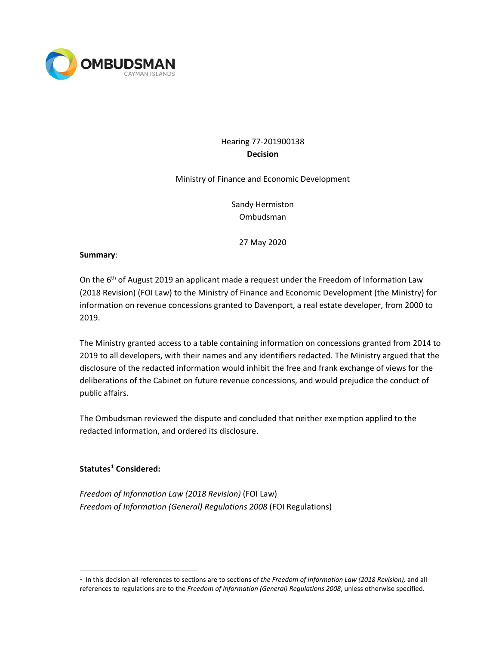

# Hearing 77-201900138 **Decision**

### Ministry of Finance and Economic Development

Sandy Hermiston Ombudsman

27 May 2020

### **Summary**:

On the  $6<sup>th</sup>$  of August 2019 an applicant made a request under the Freedom of Information Law (2018 Revision) (FOI Law) to the Ministry of Finance and Economic Development (the Ministry) for information on revenue concessions granted to Davenport, a real estate developer, from 2000 to 2019.

The Ministry granted access to a table containing information on concessions granted from 2014 to 2019 to all developers, with their names and any identifiers redacted. The Ministry argued that the disclosure of the redacted information would inhibit the free and frank exchange of views for the deliberations of the Cabinet on future revenue concessions, and would prejudice the conduct of public affairs.

The Ombudsman reviewed the dispute and concluded that neither exemption applied to the redacted information, and ordered its disclosure.

## **Statutes[1](#page-0-0) Considered:**

*Freedom of Information Law (2018 Revision)* (FOI Law) *Freedom of Information (General) Regulations 2008* (FOI Regulations)

<span id="page-0-0"></span><sup>1</sup> In this decision all references to sections are to sections of *the Freedom of Information Law (2018 Revision),* and all references to regulations are to the *Freedom of Information (General) Regulations 2008*, unless otherwise specified.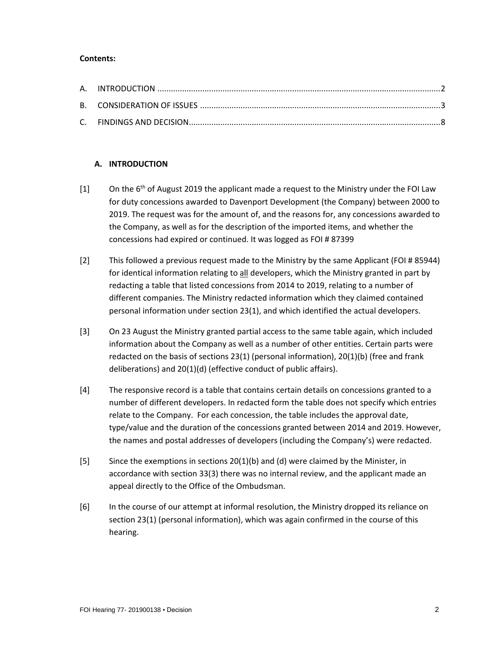### **Contents:**

## **A. INTRODUCTION**

- $[1]$  On the 6<sup>th</sup> of August 2019 the applicant made a request to the Ministry under the FOI Law for duty concessions awarded to Davenport Development (the Company) between 2000 to 2019. The request was for the amount of, and the reasons for, any concessions awarded to the Company, as well as for the description of the imported items, and whether the concessions had expired or continued. It was logged as FOI # 87399
- [2] This followed a previous request made to the Ministry by the same Applicant (FOI # 85944) for identical information relating to all developers, which the Ministry granted in part by redacting a table that listed concessions from 2014 to 2019, relating to a number of different companies. The Ministry redacted information which they claimed contained personal information under section 23(1), and which identified the actual developers.
- [3] On 23 August the Ministry granted partial access to the same table again, which included information about the Company as well as a number of other entities. Certain parts were redacted on the basis of sections 23(1) (personal information), 20(1)(b) (free and frank deliberations) and 20(1)(d) (effective conduct of public affairs).
- [4] The responsive record is a table that contains certain details on concessions granted to a number of different developers. In redacted form the table does not specify which entries relate to the Company. For each concession, the table includes the approval date, type/value and the duration of the concessions granted between 2014 and 2019. However, the names and postal addresses of developers (including the Company's) were redacted.
- [5] Since the exemptions in sections 20(1)(b) and (d) were claimed by the Minister, in accordance with section 33(3) there was no internal review, and the applicant made an appeal directly to the Office of the Ombudsman.
- [6] In the course of our attempt at informal resolution, the Ministry dropped its reliance on section 23(1) (personal information), which was again confirmed in the course of this hearing.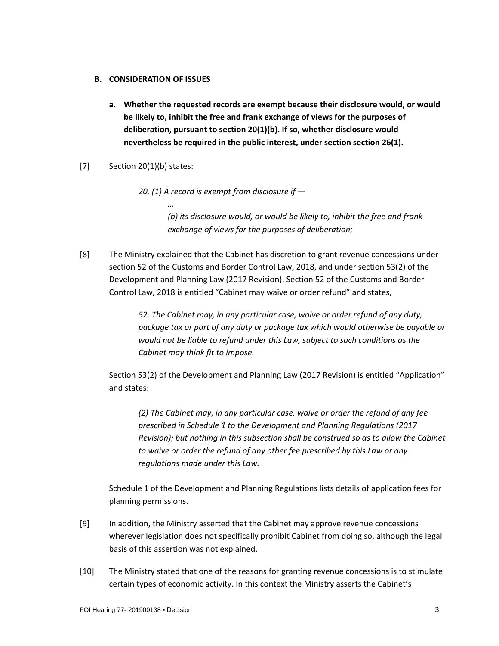- **B. CONSIDERATION OF ISSUES**
	- **a. Whether the requested records are exempt because their disclosure would, or would be likely to, inhibit the free and frank exchange of views for the purposes of deliberation, pursuant to section 20(1)(b). If so, whether disclosure would nevertheless be required in the public interest, under section section 26(1).**

### [7] Section 20(1)(b) states:

*…*

*20. (1) A record is exempt from disclosure if —*

*(b) its disclosure would, or would be likely to, inhibit the free and frank exchange of views for the purposes of deliberation;*

[8] The Ministry explained that the Cabinet has discretion to grant revenue concessions under section 52 of the Customs and Border Control Law, 2018, and under section 53(2) of the Development and Planning Law (2017 Revision). Section 52 of the Customs and Border Control Law, 2018 is entitled "Cabinet may waive or order refund" and states,

> *52. The Cabinet may, in any particular case, waive or order refund of any duty, package tax or part of any duty or package tax which would otherwise be payable or would not be liable to refund under this Law, subject to such conditions as the Cabinet may think fit to impose.*

Section 53(2) of the Development and Planning Law (2017 Revision) is entitled "Application" and states:

*(2) The Cabinet may, in any particular case, waive or order the refund of any fee prescribed in Schedule 1 to the Development and Planning Regulations (2017 Revision); but nothing in this subsection shall be construed so as to allow the Cabinet to waive or order the refund of any other fee prescribed by this Law or any regulations made under this Law.*

Schedule 1 of the Development and Planning Regulations lists details of application fees for planning permissions.

- [9] In addition, the Ministry asserted that the Cabinet may approve revenue concessions wherever legislation does not specifically prohibit Cabinet from doing so, although the legal basis of this assertion was not explained.
- [10] The Ministry stated that one of the reasons for granting revenue concessions is to stimulate certain types of economic activity. In this context the Ministry asserts the Cabinet's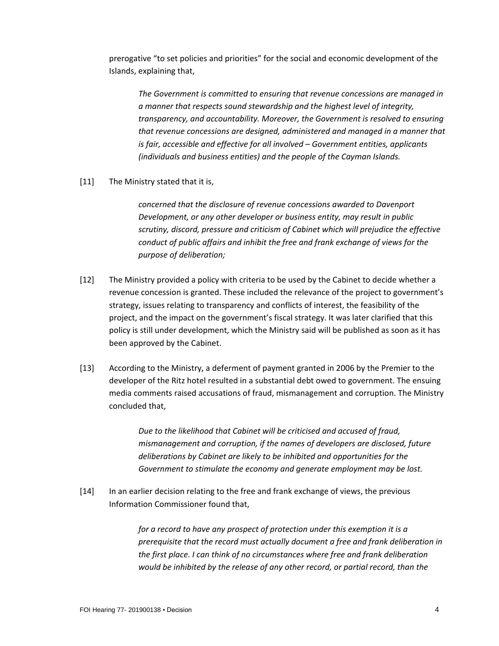prerogative "to set policies and priorities" for the social and economic development of the Islands, explaining that,

*The Government is committed to ensuring that revenue concessions are managed in a manner that respects sound stewardship and the highest level of integrity, transparency, and accountability. Moreover, the Government is resolved to ensuring that revenue concessions are designed, administered and managed in a manner that is fair, accessible and effective for all involved – Government entities, applicants (individuals and business entities) and the people of the Cayman Islands.*

#### [11] The Ministry stated that it is,

*concerned that the disclosure of revenue concessions awarded to Davenport Development, or any other developer or business entity, may result in public scrutiny, discord, pressure and criticism of Cabinet which will prejudice the effective conduct of public affairs and inhibit the free and frank exchange of views for the purpose of deliberation;*

- [12] The Ministry provided a policy with criteria to be used by the Cabinet to decide whether a revenue concession is granted. These included the relevance of the project to government's strategy, issues relating to transparency and conflicts of interest, the feasibility of the project, and the impact on the government's fiscal strategy. It was later clarified that this policy is still under development, which the Ministry said will be published as soon as it has been approved by the Cabinet.
- [13] According to the Ministry, a deferment of payment granted in 2006 by the Premier to the developer of the Ritz hotel resulted in a substantial debt owed to government. The ensuing media comments raised accusations of fraud, mismanagement and corruption. The Ministry concluded that,

*Due to the likelihood that Cabinet will be criticised and accused of fraud, mismanagement and corruption, if the names of developers are disclosed, future deliberations by Cabinet are likely to be inhibited and opportunities for the Government to stimulate the economy and generate employment may be lost.*

[14] In an earlier decision relating to the free and frank exchange of views, the previous Information Commissioner found that,

> *for a record to have any prospect of protection under this exemption it is a prerequisite that the record must actually document a free and frank deliberation in the first place. I can think of no circumstances where free and frank deliberation would be inhibited by the release of any other record, or partial record, than the*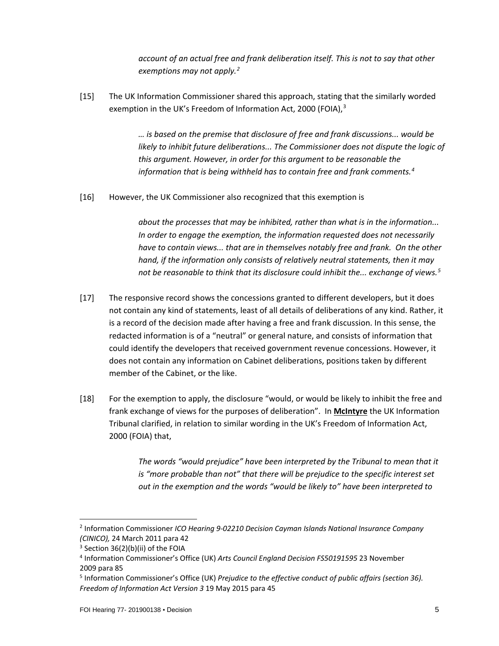*account of an actual free and frank deliberation itself. This is not to say that other exemptions may not apply.[2](#page-4-0)*

[15] The UK Information Commissioner shared this approach, stating that the similarly worded exemption in the UK's Freedom of Information Act, 2000 (FOIA),<sup>[3](#page-4-1)</sup>

> *… is based on the premise that disclosure of free and frank discussions... would be likely to inhibit future deliberations... The Commissioner does not dispute the logic of this argument. However, in order for this argument to be reasonable the information that is being withheld has to contain free and frank comments.[4](#page-4-2)*

[16] However, the UK Commissioner also recognized that this exemption is

*about the processes that may be inhibited, rather than what is in the information... In order to engage the exemption, the information requested does not necessarily have to contain views... that are in themselves notably free and frank. On the other hand, if the information only consists of relatively neutral statements, then it may not be reasonable to think that its disclosure could inhibit the... exchange of views.[5](#page-4-3)*

- [17] The responsive record shows the concessions granted to different developers, but it does not contain any kind of statements, least of all details of deliberations of any kind. Rather, it is a record of the decision made after having a free and frank discussion. In this sense, the redacted information is of a "neutral" or general nature, and consists of information that could identify the developers that received government revenue concessions. However, it does not contain any information on Cabinet deliberations, positions taken by different member of the Cabinet, or the like.
- [18] For the exemption to apply, the disclosure "would, or would be likely to inhibit the free and frank exchange of views for the purposes of deliberation". In **McIntyre** the UK Information Tribunal clarified, in relation to similar wording in the UK's Freedom of Information Act, 2000 (FOIA) that,

*The words "would prejudice" have been interpreted by the Tribunal to mean that it is "more probable than not" that there will be prejudice to the specific interest set out in the exemption and the words "would be likely to" have been interpreted to* 

<span id="page-4-0"></span><sup>2</sup> Information Commissioner *ICO Hearing 9-02210 Decision Cayman Islands National Insurance Company (CINICO),* 24 March 2011 para 42

<span id="page-4-1"></span> $3$  Section 36(2)(b)(ii) of the FOIA

<span id="page-4-2"></span><sup>4</sup> Information Commissioner's Office (UK) *Arts Council England Decision FS50191595* 23 November 2009 para 85

<span id="page-4-3"></span><sup>5</sup> Information Commissioner's Office (UK) *Prejudice to the effective conduct of public affairs (section 36). Freedom of Information Act Version 3* 19 May 2015 para 45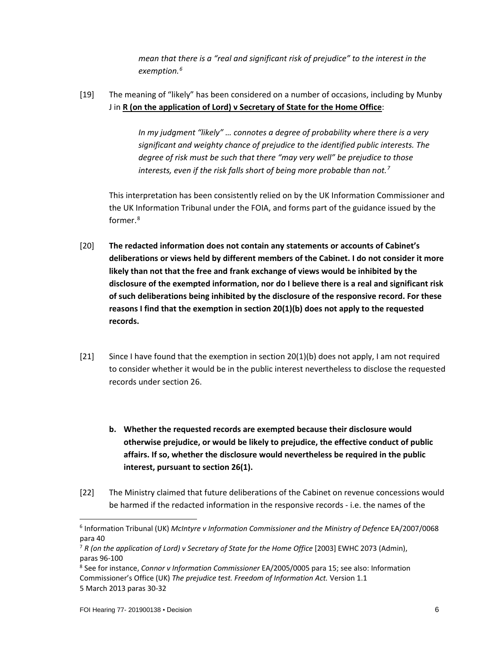*mean that there is a "real and significant risk of prejudice" to the interest in the exemption.[6](#page-5-0)*

[19] The meaning of "likely" has been considered on a number of occasions, including by Munby J in **R (on the application of Lord) v Secretary of State for the Home Office**:

> *In my judgment "likely" … connotes a degree of probability where there is a very significant and weighty chance of prejudice to the identified public interests. The degree of risk must be such that there "may very well" be prejudice to those interests, even if the risk falls short of being more probable than not.[7](#page-5-1)*

This interpretation has been consistently relied on by the UK Information Commissioner and the UK Information Tribunal under the FOIA, and forms part of the guidance issued by the former.[8](#page-5-2)

- [20] **The redacted information does not contain any statements or accounts of Cabinet's deliberations or views held by different members of the Cabinet. I do not consider it more likely than not that the free and frank exchange of views would be inhibited by the disclosure of the exempted information, nor do I believe there is a real and significant risk of such deliberations being inhibited by the disclosure of the responsive record. For these reasons I find that the exemption in section 20(1)(b) does not apply to the requested records.**
- [21] Since I have found that the exemption in section 20(1)(b) does not apply, I am not required to consider whether it would be in the public interest nevertheless to disclose the requested records under section 26.
	- **b. Whether the requested records are exempted because their disclosure would otherwise prejudice, or would be likely to prejudice, the effective conduct of public affairs. If so, whether the disclosure would nevertheless be required in the public interest, pursuant to section 26(1).**
- [22] The Ministry claimed that future deliberations of the Cabinet on revenue concessions would be harmed if the redacted information in the responsive records - i.e. the names of the

<span id="page-5-0"></span><sup>6</sup> Information Tribunal (UK) *McIntyre v Information Commissioner and the Ministry of Defence* EA/2007/0068 para 40

<span id="page-5-1"></span><sup>&</sup>lt;sup>7</sup> *R* (on the application of Lord) v Secretary of State for the Home Office [2003] EWHC 2073 (Admin), paras 96-100

<span id="page-5-2"></span><sup>8</sup> See for instance, *Connor v Information Commissioner* EA/2005/0005 para 15; see also: Information Commissioner's Office (UK) *The prejudice test. Freedom of Information Act.* Version 1.1 5 March 2013 paras 30-32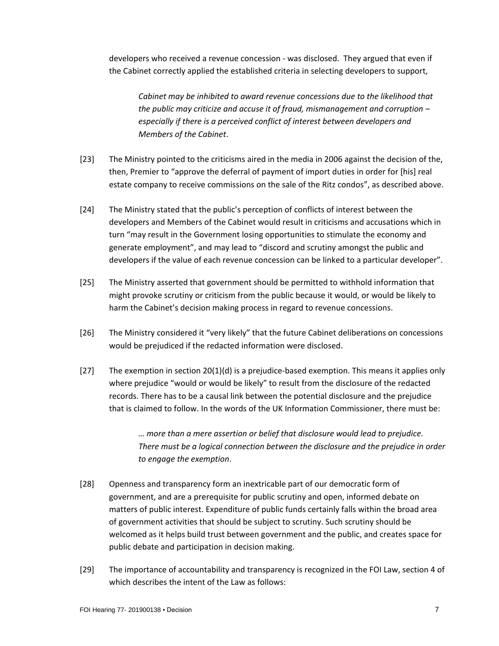developers who received a revenue concession - was disclosed. They argued that even if the Cabinet correctly applied the established criteria in selecting developers to support,

*Cabinet may be inhibited to award revenue concessions due to the likelihood that the public may criticize and accuse it of fraud, mismanagement and corruption – especially if there is a perceived conflict of interest between developers and Members of the Cabinet*.

- [23] The Ministry pointed to the criticisms aired in the media in 2006 against the decision of the, then, Premier to "approve the deferral of payment of import duties in order for [his] real estate company to receive commissions on the sale of the Ritz condos", as described above.
- [24] The Ministry stated that the public's perception of conflicts of interest between the developers and Members of the Cabinet would result in criticisms and accusations which in turn "may result in the Government losing opportunities to stimulate the economy and generate employment", and may lead to "discord and scrutiny amongst the public and developers if the value of each revenue concession can be linked to a particular developer".
- [25] The Ministry asserted that government should be permitted to withhold information that might provoke scrutiny or criticism from the public because it would, or would be likely to harm the Cabinet's decision making process in regard to revenue concessions.
- [26] The Ministry considered it "very likely" that the future Cabinet deliberations on concessions would be prejudiced if the redacted information were disclosed.
- [27] The exemption in section 20(1)(d) is a prejudice-based exemption. This means it applies only where prejudice "would or would be likely" to result from the disclosure of the redacted records. There has to be a causal link between the potential disclosure and the prejudice that is claimed to follow. In the words of the UK Information Commissioner, there must be:

*… more than a mere assertion or belief that disclosure would lead to prejudice. There must be a logical connection between the disclosure and the prejudice in order to engage the exemption*.

- [28] Openness and transparency form an inextricable part of our democratic form of government, and are a prerequisite for public scrutiny and open, informed debate on matters of public interest. Expenditure of public funds certainly falls within the broad area of government activities that should be subject to scrutiny. Such scrutiny should be welcomed as it helps build trust between government and the public, and creates space for public debate and participation in decision making.
- [29] The importance of accountability and transparency is recognized in the FOI Law, section 4 of which describes the intent of the Law as follows: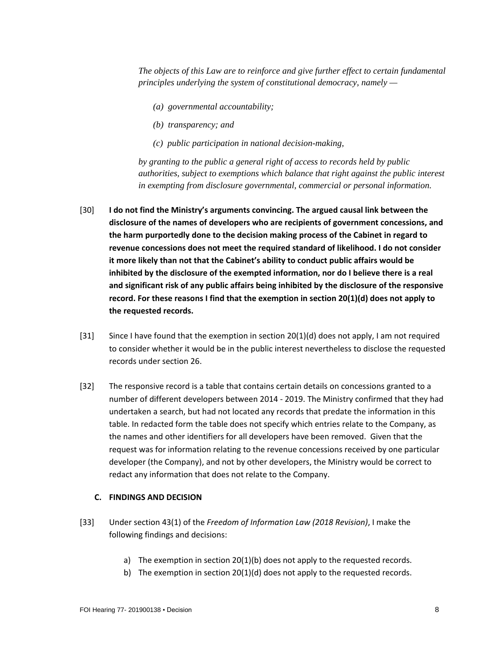*The objects of this Law are to reinforce and give further effect to certain fundamental principles underlying the system of constitutional democracy, namely —*

- *(a) governmental accountability;*
- *(b) transparency; and*
- *(c) public participation in national decision-making,*

*by granting to the public a general right of access to records held by public authorities, subject to exemptions which balance that right against the public interest in exempting from disclosure governmental, commercial or personal information.*

- [30] **I do not find the Ministry's arguments convincing. The argued causal link between the disclosure of the names of developers who are recipients of government concessions, and the harm purportedly done to the decision making process of the Cabinet in regard to revenue concessions does not meet the required standard of likelihood. I do not consider it more likely than not that the Cabinet's ability to conduct public affairs would be inhibited by the disclosure of the exempted information, nor do I believe there is a real and significant risk of any public affairs being inhibited by the disclosure of the responsive record. For these reasons I find that the exemption in section 20(1)(d) does not apply to the requested records.**
- [31] Since I have found that the exemption in section 20(1)(d) does not apply, I am not required to consider whether it would be in the public interest nevertheless to disclose the requested records under section 26.
- [32] The responsive record is a table that contains certain details on concessions granted to a number of different developers between 2014 - 2019. The Ministry confirmed that they had undertaken a search, but had not located any records that predate the information in this table. In redacted form the table does not specify which entries relate to the Company, as the names and other identifiers for all developers have been removed. Given that the request was for information relating to the revenue concessions received by one particular developer (the Company), and not by other developers, the Ministry would be correct to redact any information that does not relate to the Company.

#### **C. FINDINGS AND DECISION**

- [33] Under section 43(1) of the *Freedom of Information Law (2018 Revision)*, I make the following findings and decisions:
	- a) The exemption in section 20(1)(b) does not apply to the requested records.
	- b) The exemption in section 20(1)(d) does not apply to the requested records.